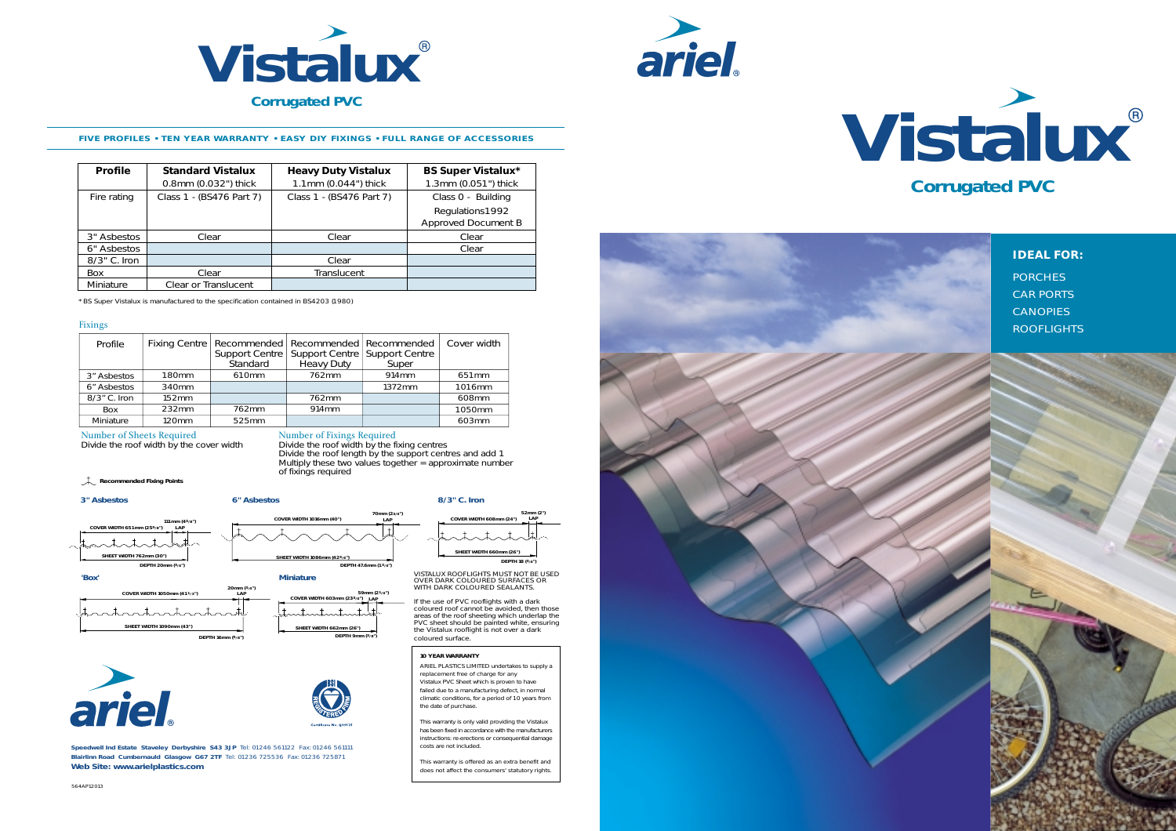



#### **FIVE PROFILES • TEN YEAR WARRANTY • EASY DIY FIXINGS • FULL RANGE OF ACCESSORIES**

| <b>Profile</b> | <b>Standard Vistalux</b><br>0.8mm (0.032") thick | <b>Heavy Duty Vistalux</b><br>1.1mm (0.044") thick | <b>BS Super Vistalux*</b><br>1.3mm (0.051") thick |
|----------------|--------------------------------------------------|----------------------------------------------------|---------------------------------------------------|
| Fire rating    | Class 1 - (BS476 Part 7)                         | Class 1 - (BS476 Part 7)                           | Class 0 - Building                                |
|                |                                                  |                                                    | Regulations1992<br>Approved Document B            |
| 3" Asbestos    | Clear                                            | Clear                                              | Clear                                             |
| 6" Asbestos    |                                                  |                                                    | Clear                                             |
| 8/3" C. Iron   |                                                  | Clear                                              |                                                   |
| Box            | Clear                                            | Translucent                                        |                                                   |
| Miniature      | Clear or Translucent                             |                                                    |                                                   |

\* BS Super Vistalux is manufactured to the specification contained in BS4203 (1980)

#### Fixings

| Profile      |                   | Fixing Centre   Recommended   Recommended   Recommended<br>Standard | Support Centre   Support Centre   Support Centre<br>Heavy Duty | Super  | Cover width       |
|--------------|-------------------|---------------------------------------------------------------------|----------------------------------------------------------------|--------|-------------------|
| 3" Asbestos  | 180 <sub>mm</sub> | 610mm                                                               | 762mm                                                          | 914mm  | 651 <sub>mm</sub> |
| 6" Asbestos  | 340mm             |                                                                     |                                                                | 1372mm | 1016mm            |
| 8/3" C. Iron | 152mm             |                                                                     | 762mm                                                          |        | 608mm             |
| Box          | 232mm             | 762mm                                                               | 914mm                                                          |        | 1050mm            |
| Miniature    | 120mm             | 525mm                                                               |                                                                |        | 603mm             |

Number of Sheets Required Number of Fixings Required<br>Divide the roof width by the cover width Divide the roof width by the fixing centres Divide the roof length by the support centres and add 1 Multiply these two values together = approximate number of fixings required

**Recommended Fixing Points**

#### **3" Asbestos 6" Asbestos 8/3" C. Iron**





**Speedwell Ind Estate Staveley Derbyshire S43 3JP** Tel: 01246 561122 Fax: 01246 561111 **Blairlinn Road Cumbernauld Glasgow G67 2TF** Tel: 01236 725536 Fax: 01236 725871 **Web Site: www.arielplastics.com**

**COVER WIDTH 608mm (24") LAP**



**52mm (2")**

VISTALUX ROOFLIGHTS MUST NOT BE USED OVER DARK COLOURED SURFACES OR WITH DARK COLOURED SEALANTS.

If the use of PVC rooflights with a dark coloured roof cannot be avoided, then those areas of the roof sheeting which underlap the PVC sheet should be painted white, ensuring the Vistalux rooflight is not over a dark coloured surface.

#### **10 YEAR WARRANTY**

ARIEL PLASTICS LIMITED undertakes to supply a replacement free of charge for any Vistalux PVC Sheet which is proven to have failed due to a manufacturing defect, in normal climatic conditions, for a period of 10 years from the date of purchase.

This warranty is only valid providing the Vistalux has been fixed in accordance with the manufacturers instructions: re-erections or consequential damage costs are not included.

This warranty is offered as an extra benefit and does not affect the consumers' statutory rights.



**Vistalux**